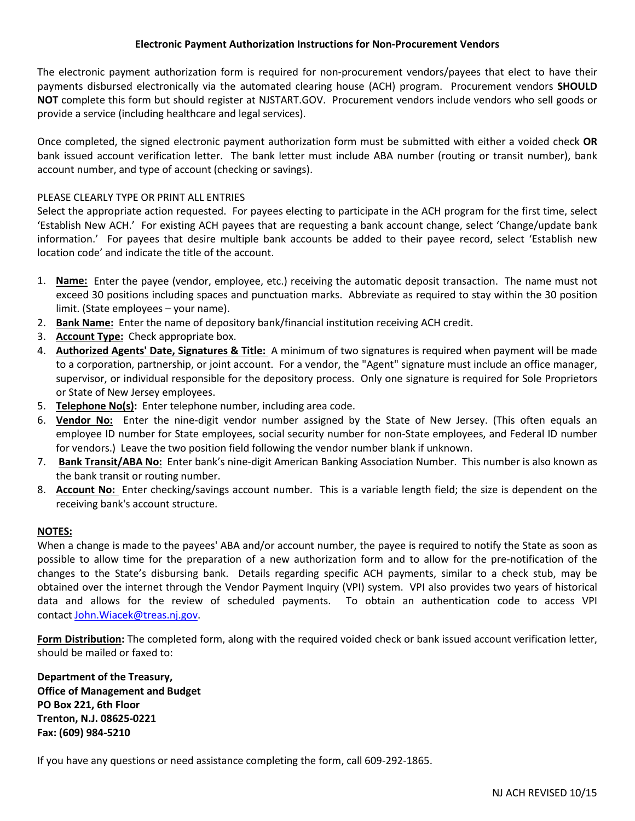The electronic payment authorization form is required for non-procurement vendors/payees that elect to have their payments disbursed electronically via the automated clearing house (ACH) program. Procurement vendors **SHOULD NOT** complete this form but should register at NJSTART.GOV. Procurement vendors include vendors who sell goods or provide a service (including healthcare and legal services).

Once completed, the signed electronic payment authorization form must be submitted with either a voided check **OR** bank issued account verification letter. The bank letter must include ABA number (routing or transit number), bank account number, and type of account (checking or savings).

## PLEASE CLEARLY TYPE OR PRINT ALL ENTRIES

Select the appropriate action requested. For payees electing to participate in the ACH program for the first time, select 'Establish New ACH.' For existing ACH payees that are requesting a bank account change, select 'Change/update bank information.' For payees that desire multiple bank accounts be added to their payee record, select 'Establish new location code' and indicate the title of the account.

- 1. **Name:** Enter the payee (vendor, employee, etc.) receiving the automatic deposit transaction. The name must not exceed 30 positions including spaces and punctuation marks. Abbreviate as required to stay within the 30 position limit. (State employees – your name).
- 2. **Bank Name:** Enter the name of depository bank/financial institution receiving ACH credit.
- 3. **Account Type:** Check appropriate box.
- 4. **Authorized Agents' Date, Signatures & Title:** A minimum of two signatures is required when payment will be made to a corporation, partnership, or joint account. For a vendor, the "Agent" signature must include an office manager, supervisor, or individual responsible for the depository process. Only one signature is required for Sole Proprietors or State of New Jersey employees.
- 5. **Telephone No(s):** Enter telephone number, including area code.
- 6. **Vendor No:** Enter the nine-digit vendor number assigned by the State of New Jersey. (This often equals an employee ID number for State employees, social security number for non-State employees, and Federal ID number for vendors.) Leave the two position field following the vendor number blank if unknown.
- 7. **Bank Transit/ABA No:** Enter bank's nine-digit American Banking Association Number. This number is also known as the bank transit or routing number.
- 8. **Account No:** Enter checking/savings account number. This is a variable length field; the size is dependent on the receiving bank's account structure.

## **NOTES:**

When a change is made to the payees' ABA and/or account number, the payee is required to notify the State as soon as possible to allow time for the preparation of a new authorization form and to allow for the pre-notification of the changes to the State's disbursing bank. Details regarding specific ACH payments, similar to a check stub, may be obtained over the internet through the Vendor Payment Inquiry (VPI) system. VPI also provides two years of historical data and allows for the review of scheduled payments. To obtain an authentication code to access VPI contact [John.Wiacek@treas.nj.gov.](mailto:John.Wiacek@treas.nj.gov)

**Form Distribution:** The completed form, along with the required voided check or bank issued account verification letter, should be mailed or faxed to:

**Department of the Treasury, Office of Management and Budget PO Box 221, 6th Floor Trenton, N.J. 08625-0221 Fax: (609) 984-5210**

If you have any questions or need assistance completing the form, call 609-292-1865.